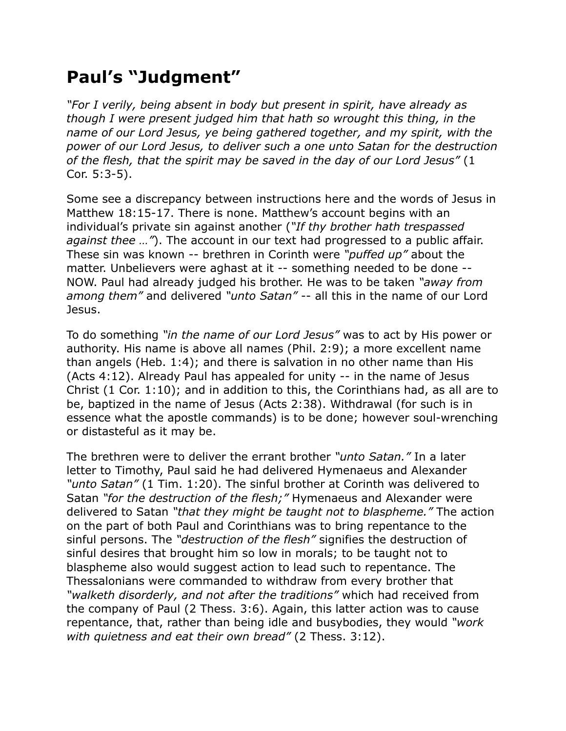## **Paul's "Judgment"**

*"For I verily, being absent in body but present in spirit, have already as though I were present judged him that hath so wrought this thing, in the name of our Lord Jesus, ye being gathered together, and my spirit, with the power of our Lord Jesus, to deliver such a one unto Satan for the destruction of the flesh, that the spirit may be saved in the day of our Lord Jesus"* (1 Cor. 5:3-5).

Some see a discrepancy between instructions here and the words of Jesus in Matthew 18:15-17. There is none. Matthew's account begins with an individual's private sin against another (*"If thy brother hath trespassed against thee …"*). The account in our text had progressed to a public affair. These sin was known -- brethren in Corinth were *"puffed up"* about the matter. Unbelievers were aghast at it -- something needed to be done -- NOW. Paul had already judged his brother. He was to be taken *"away from among them"* and delivered *"unto Satan"* -- all this in the name of our Lord Jesus.

To do something *"in the name of our Lord Jesus"* was to act by His power or authority. His name is above all names (Phil. 2:9); a more excellent name than angels (Heb. 1:4); and there is salvation in no other name than His (Acts 4:12). Already Paul has appealed for unity -- in the name of Jesus Christ (1 Cor. 1:10); and in addition to this, the Corinthians had, as all are to be, baptized in the name of Jesus (Acts 2:38). Withdrawal (for such is in essence what the apostle commands) is to be done; however soul-wrenching or distasteful as it may be.

The brethren were to deliver the errant brother *"unto Satan."* In a later letter to Timothy, Paul said he had delivered Hymenaeus and Alexander *"unto Satan"* (1 Tim. 1:20). The sinful brother at Corinth was delivered to Satan *"for the destruction of the flesh;"* Hymenaeus and Alexander were delivered to Satan *"that they might be taught not to blaspheme."* The action on the part of both Paul and Corinthians was to bring repentance to the sinful persons. The *"destruction of the flesh"* signifies the destruction of sinful desires that brought him so low in morals; to be taught not to blaspheme also would suggest action to lead such to repentance. The Thessalonians were commanded to withdraw from every brother that *"walketh disorderly, and not after the traditions"* which had received from the company of Paul (2 Thess. 3:6). Again, this latter action was to cause repentance, that, rather than being idle and busybodies, they would *"work with quietness and eat their own bread"* (2 Thess. 3:12).